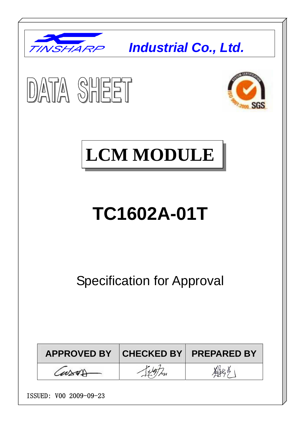| TIN.SHARP              |                                   | <b>Industrial Co., Ltd.</b> |  |  |  |  |  |  |  |  |
|------------------------|-----------------------------------|-----------------------------|--|--|--|--|--|--|--|--|
| $ D $ ATA SHEET        |                                   |                             |  |  |  |  |  |  |  |  |
|                        | <b>LCM MODULE</b>                 |                             |  |  |  |  |  |  |  |  |
| <b>TC1602A-01T</b>     |                                   |                             |  |  |  |  |  |  |  |  |
|                        | <b>Specification for Approval</b> |                             |  |  |  |  |  |  |  |  |
| <b>APPROVED BY</b>     | <b>CHECKED BY</b>                 | <b>PREPARED BY</b>          |  |  |  |  |  |  |  |  |
|                        |                                   |                             |  |  |  |  |  |  |  |  |
| ISSUED: V00 2009-09-23 |                                   |                             |  |  |  |  |  |  |  |  |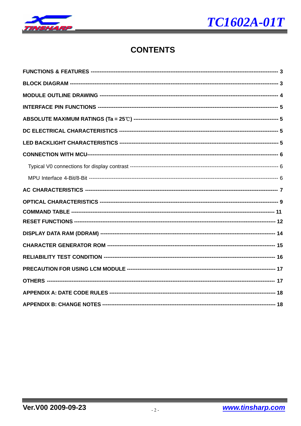



## **CONTENTS**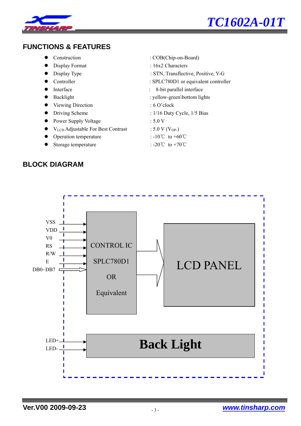



## **FUNCTIONS & FEATURES**

- 
- Display Format : 16x2 Characters
- 
- 
- 
- 
- Viewing Direction : 6 O'clock
- 
- Power Supply Voltage : 5.0 V
- $V_{LCD}$  Adjustable For Best Contrast : 5.0 V (V<sub>OP</sub>.)
- z Operation temperature : -10℃ to +60℃
- z Storage temperature : -20℃ to +70℃
- z Construction : COB(Chip-on-Board)
	-
- z Display Type : STN, Transflective, Positive, Y-G
- z Controller : SPLC780D1 or equivalent controller
- Interface : 8-bit parallel interface
- Backlight : yellow-green\bottom lights
	-
- Driving Scheme : 1/16 Duty Cycle, 1/5 Bias
	-
	-
	-
	-

### **BLOCK DIAGRAM**

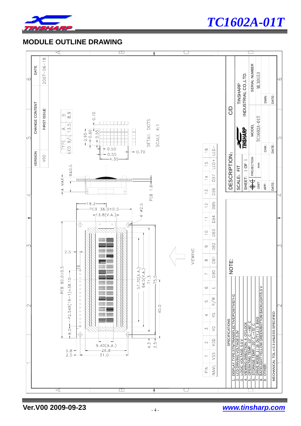

*TC1602A-01T*

### **MODULE OUTLINE DRAWING**

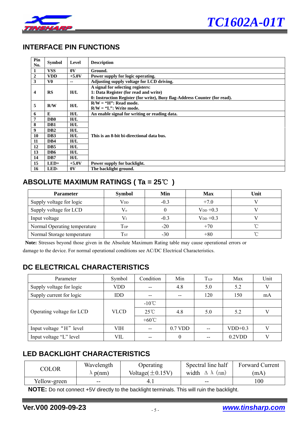

## **INTERFACE PIN FUNCTIONS**

| Pin<br>No.              | <b>Symbol</b>    | Level          | <b>Description</b>                                                         |
|-------------------------|------------------|----------------|----------------------------------------------------------------------------|
| 1                       | <b>VSS</b>       | 0 <sup>V</sup> | Ground.                                                                    |
| $\boldsymbol{2}$        | <b>VDD</b>       | $+5.0V$        | Power supply for logic operating.                                          |
| $\mathbf{3}$            | V <sub>0</sub>   | --             | Adjusting supply voltage for LCD driving.                                  |
|                         |                  |                | A signal for selecting registers:                                          |
| $\overline{\mathbf{4}}$ | RS               | H/L            | 1: Data Register (for read and write)                                      |
|                         |                  |                | 0: Instruction Register (for write), Busy flag-Address Counter (for read). |
| 5                       | R/W              | H/L            | $R/W = "H":$ Read mode.                                                    |
|                         |                  |                | $R/W = 'L'': Write mode.$                                                  |
| 6                       | E                | H/L            | An enable signal for writing or reading data.                              |
| 7                       | D <sub>B</sub> 0 | H/L            |                                                                            |
| 8                       | DB1              | H/L            |                                                                            |
| 9                       | D <sub>B2</sub>  | H/L            |                                                                            |
| 10                      | DB <sub>3</sub>  | H/L            | This is an 8-bit bi-directional data bus.                                  |
| 11                      | DB4              | H/L            |                                                                            |
| 12                      | D <sub>B5</sub>  | H/L            |                                                                            |
| 13                      | DB <sub>6</sub>  | H/L            |                                                                            |
| 14                      | DB7              | H/L            |                                                                            |
| 15                      | $LED+$           | $+5.0V$        | Power supply for backlight.                                                |
| 16                      | LED-             | 0 <sup>V</sup> | The backlight ground.                                                      |

## **ABSOLUTE MAXIMUM RATINGS ( Ta = 25**℃ **)**

| <b>Parameter</b>             | <b>Symbol</b>        | Min    | <b>Max</b>    | Unit |
|------------------------------|----------------------|--------|---------------|------|
| Supply voltage for logic     | $\rm V_{DD}$         | $-0.3$ | $+7.0$        |      |
| Supply voltage for LCD       | $V_{o}$              |        | $V_{DD} +0.3$ |      |
| Input voltage                | Vı                   | $-0.3$ | $V_{DD} +0.3$ |      |
| Normal Operating temperature | $\operatorname{Top}$ | $-20$  | $+70$         |      |
| Normal Storage temperature   | Tst                  | $-30$  | $+80$         |      |

**Note:** Stresses beyond those given in the Absolute Maximum Rating table may cause operational errors or damage to the device. For normal operational conditions see AC/DC Electrical Characteristics.

## **DC ELECTRICAL CHARACTERISTICS**

| Parameter                 | Symbol      | Condition       | Min       | $T_{YP}$ | Max       | Unit         |
|---------------------------|-------------|-----------------|-----------|----------|-----------|--------------|
| Supply voltage for logic  | <b>VDD</b>  |                 | 4.8       | 5.0      | 5.2       | V            |
| Supply current for logic  | <b>IDD</b>  | --              | $- -$     | 120      | 150       | mA           |
|                           |             | $-10^{\circ}$ C |           |          |           |              |
| Operating voltage for LCD | <b>VLCD</b> | $25^{\circ}$ C  | 4.8       | 5.0      | 5.2       |              |
|                           |             | +60 $\degree$ C |           |          |           |              |
| Input voltage "H" level   | VIH         | $- -$           | $0.7$ VDD | --       | $VDD+0.3$ | $\mathbf{V}$ |
| Input voltage "L" level   | VIL         | --              |           | --       | $0.2$ VDD | $\mathbf{V}$ |

## **LED BACKLIGHT CHARACTERISTICS**

| COLOR        | Wavelength      | Operating             | Spectral line half          | <b>Forward Current</b> |
|--------------|-----------------|-----------------------|-----------------------------|------------------------|
|              | $\lambda$ p(nm) | Voltage( $\pm$ 0.15V) | width $\Delta \lambda$ (nm) | (mA)                   |
| Yellow-green | $- -$           | 4.1                   | $- -$                       | $\overline{00}$        |

**NOTE:** Do not connect +5V directly to the backlight terminals. This will ruin the backlight.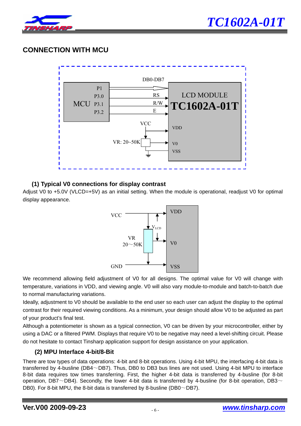



### **CONNECTION WITH MCU**



### **(1) Typical V0 connections for display contrast**

Adjust V0 to +5.0V (VLCD=+5V) as an initial setting. When the module is operational, readjust V0 for optimal display appearance.



We recommend allowing field adjustment of V0 for all designs. The optimal value for V0 will change with temperature, variations in VDD, and viewing angle. V0 will also vary module-to-module and batch-to-batch due to normal manufacturing variations.

Ideally, adjustment to V0 should be available to the end user so each user can adjust the display to the optimal contrast for their required viewing conditions. As a minimum, your design should allow V0 to be adjusted as part of your product's final test.

Although a potentiometer is shown as a typical connection, V0 can be driven by your microcontroller, either by using a DAC or a filtered PWM. Displays that require V0 to be negative may need a level-shifting circuit. Please do not hesitate to contact Tinsharp application support for design assistance on your application.

### **(2) MPU Interface 4-bit/8-Bit**

There are tow types of data operations: 4-bit and 8-bit operations. Using 4-bit MPU, the interfacing 4-bit data is transferred by 4-busline (DB4~DB7). Thus, DB0 to DB3 bus lines are not used. Using 4-bit MPU to interface 8-bit data requires tow times transferring. First, the higher 4-bit data is transferred by 4-busline (for 8-bit operation, DB7~DB4). Secondly, the lower 4-bit data is transferred by 4-busline (for 8-bit operation, DB3~ DB0). For 8-bit MPU, the 8-bit data is transferred by 8-busline (DB0 $\sim$ DB7).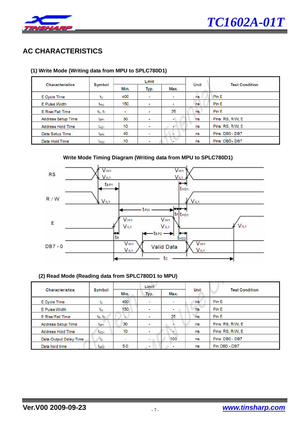

## **AC CHARACTERISTICS**

#### Limit **Characteristics Test Condition** Symbol Unit Min. Typ. Max. E Cycle Time  $t_{\rm c}$ 400 ä, ä, ns Pin E 150 Pin E E Pulse Width t<sub>PW</sub> ä, ä,  $ns$ 25 Pin E E Rise/Fall Time  $t_R, t_F$  $\Box$ ÷ ns  $\omega_{\rm c}$ Pins: RS, R/W, E Address Setup Time t<sub>sP1</sub> 30 t, ns Address Hold Time  $10$ ä, Æ. Pins: RS, R/W, E t<sub>HD1</sub> ns L, Data Setup Time  $t_{SP2}$ 40 Pins: DB0 - DB7 l, ns Data Hold Time  $10$ l, l. Pins: DB0 - DB7 ns  $t_{HD2}$

### **(1) Write Mode (Writing data from MPU to SPLC780D1)**

### **Write Mode Timing Diagram (Writing data from MPU to SPLC780D1)**



### **(2) Read Mode (Reading data from SPLC780D1 to MPU)**

|                        |                  |                                 | Limit          |      |      |                       |
|------------------------|------------------|---------------------------------|----------------|------|------|-----------------------|
| <b>Characteristics</b> | Symbol           | Min.                            | Typ.           | Max. | Unit | <b>Test Condition</b> |
| E Cycle Time           | tc               | 400<br>٠                        |                | ٠    | ns   | Pin E                 |
| E Pulse Width          | tw               | 150<br>$\overline{\phantom{a}}$ |                | ٠    | ns   | Pin E                 |
| E Rise/Fall Time       | $t_R, t_F$       |                                 |                | 25   | ns   | Pin E                 |
| Address Setup Time     | t <sub>sP1</sub> | 30                              | $\blacksquare$ |      | ns   | Pins: RS, R/W, E      |
| Address Hold Time      | $t_{HD1}$        | 10                              | $\mathbf{r}$   |      | ns   | Pins: RS, R/W, E      |
| Data Output Delay Time | to               | $\blacksquare$                  | <b>COLLECT</b> | 100  | ns   | Pins: DB0 - DB7       |
| Data hold time         | $t_{HD2}$        | 5.0                             |                |      | ns   | Pin DB0 - DB7         |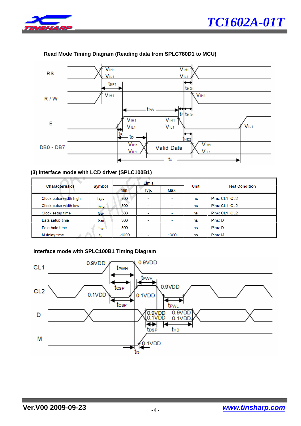





### **Read Mode Timing Diagram (Reading data from SPLC780D1 to MCU)**

### **(3) Interface mode with LCD driver (SPLC100B1)**

|                        |                  |         | Limit          |                          |      |                       |
|------------------------|------------------|---------|----------------|--------------------------|------|-----------------------|
| <b>Characteristics</b> | Symbol           | Min.    | Typ.           | Max.                     | Unit | <b>Test Condition</b> |
| Clock pulse width high | t <sub>PWH</sub> | 800     | ۰              | ٠                        | ns   | Pins: CL1, CL2        |
| Clock pulse width low  | t <sub>PWL</sub> | 800     | ۰              | ۰                        | ns   | Pins: CL1, CL2        |
| Clock setup time       | tcsp             | 500     | ٠              | $\sim$                   | ns   | Pins: CL1, CL2        |
| Data setup time        | $t_{\text{DSP}}$ | 300     | ٠              | $\overline{\phantom{a}}$ | ns   | Pins: D               |
| Data hold time         | t <sub>HD</sub>  | 300     | $\blacksquare$ |                          | ns   | Pins: D               |
| M delay time           | ιn               | $-1000$ |                | 1000                     | ns   | Pins: M               |

### **Interface mode with SPLC100B1 Timing Diagram**

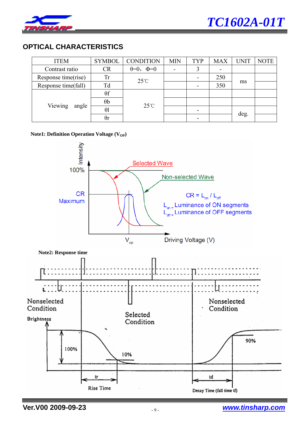

## **OPTICAL CHARACTERISTICS**

| <b>ITEM</b>         | <b>SYMBOL</b> | <b>CONDITION</b>         | <b>MIN</b> | <b>TYP</b>               | <b>MAX</b>               | <b>UNIT</b> | <b>NOTE</b> |
|---------------------|---------------|--------------------------|------------|--------------------------|--------------------------|-------------|-------------|
| Contrast ratio      | <b>CR</b>     | $\theta = 0, \ \Phi = 0$ |            |                          | $\overline{\phantom{a}}$ |             |             |
| Response time(rise) | <b>Tr</b>     | $25^{\circ}$ C           |            |                          | 250                      |             |             |
| Response time(fall) | Td            |                          |            |                          | 350                      | ms          |             |
|                     | $\theta$ f    |                          |            |                          |                          |             |             |
|                     | $\theta$      | $25^{\circ}$ C           |            |                          |                          |             |             |
| Viewing<br>angle    | $\theta$      |                          |            | $\overline{\phantom{0}}$ |                          |             |             |
|                     | $\theta$ r    |                          |            |                          |                          | deg.        |             |

### **Note1: Definition Operation Voltage (V<sub>OP</sub>)**

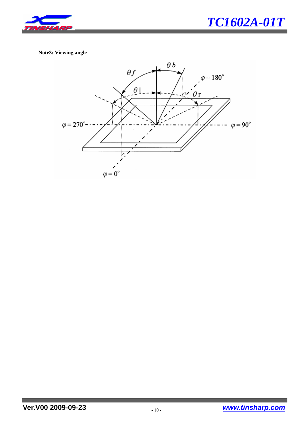



**Note3: Viewing angle** 

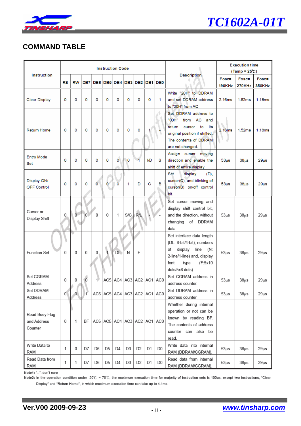

# *TC1602A-01T*

## **COMMAND TABLE**

|                                          |             |                     |                |                           | <b>Instruction Code</b>                 |                |                |                |                   |                |                                                                                                                                                                     | <b>Execution time</b><br>$(Temp = 25^{\circ}C)$ |                   |                   |  |  |
|------------------------------------------|-------------|---------------------|----------------|---------------------------|-----------------------------------------|----------------|----------------|----------------|-------------------|----------------|---------------------------------------------------------------------------------------------------------------------------------------------------------------------|-------------------------------------------------|-------------------|-------------------|--|--|
| Instruction                              |             |                     |                |                           |                                         |                |                |                |                   |                | <b>Description</b>                                                                                                                                                  | $F$ osc=                                        | $F$ osc $=$       | $Fosc =$          |  |  |
|                                          | <b>RS</b>   | <b>RW</b>           | DB7            | DB <sub>6</sub>           |                                         |                | DB5 DB4 DB3    |                | DB2 DB1 DB0       |                |                                                                                                                                                                     | 190KHz                                          | 270KHz            | <b>350KHz</b>     |  |  |
| Clear Display                            | 0           | o                   | 0              | O                         | o                                       | o              | o              | 0              | O                 | 1              | Write "20H" to DDRAM<br>and set DDRAM address<br>to "00H" from AC                                                                                                   | 2.16ms                                          | 1.52ms            | 1.18ms            |  |  |
| <b>Return Home</b>                       | O           | o                   | о              | O                         | o                                       | 0              | o              | O              |                   |                | Set DDRAM address to<br>"OOH"<br>from AC<br>and<br>return<br>cursor to<br>its<br>original position if shifted.<br>The contents of DDRAM<br>are not changed.         | 2.16ms                                          | 1.52ms            | 1.18ms            |  |  |
| <b>Entry Mode</b><br>Set                 | O           | o                   | o              | o                         | o                                       | 0              | 0              | $\overline{1}$ | I/D               | s              | Assign cursor moving<br>direction and enable the<br>shift of entire display                                                                                         | 53 <sub>us</sub>                                | $38µ$ s           | 29 <sub>µ</sub> s |  |  |
| Display ON/<br><b>OFF Control</b>        | 0           | O                   | 0              | Ō                         | o                                       | $\overline{0}$ | 1              | D              | C                 | B              | $(D)$ .<br>Set<br>display<br>cursor(C), and blinking of<br>cursor(B) on/off control<br>bit.                                                                         | 53 <sub>us</sub>                                | $38\mu s$         | 29 <sub>µ</sub> s |  |  |
| Cursor or<br>Display Shift               | 0           | $\ddot{\mathbf{0}}$ | $\overline{0}$ | 0                         | 0                                       | 1              | S/C            | R/L            |                   |                | Set cursor moving and<br>display shift control bit,<br>and the direction, without<br>changing<br>of DDRAM<br>data.                                                  | $53\mus$                                        | 38 <sub>µ</sub> s | $29\mu s$         |  |  |
| <b>Function Set</b>                      | $\mathbf 0$ | $\Omega$            | 0              | 0                         |                                         | <b>DL</b>      | N              | F              |                   |                | Set interface data length<br>(DL: 8-bit/4-bit), numbers<br>display<br>line<br>(N:<br>of<br>2-line/1-line) and, display<br>font<br>(F:5x10<br>type<br>dots/5x8 dots) | $53\mus$                                        | 38 <sub>µ</sub> s | $29\mu s$         |  |  |
| Set CGRAM<br>Address                     | 0           | $\Omega$            | $\overline{0}$ | $\mathbf{1}^{\mathbb{R}}$ | AC5                                     | AC4            | AC3            |                | $AC2$ $AC1$ $AC0$ |                | Set CGRAM address in<br>address counter.                                                                                                                            | 53 <sub>µ</sub> s                               | $38µ$ s           | $29\mu s$         |  |  |
| Set DDRAM<br>Address                     | 0           | $\overline{0}$      | 1              |                           | AC6   AC5   AC4   AC3   AC2   AC1   AC0 |                |                |                |                   |                | Set DDRAM address in<br>address counter                                                                                                                             | $53\mus$                                        | $38\mus$          | $29\mu s$         |  |  |
| Read Busy Flag<br>and Address<br>Counter | 0           | 1                   | BF             |                           | AC6   AC5   AC4   AC3   AC2   AC1   AC0 |                |                |                |                   |                | Whether during internal<br>operation or not can be<br>known by reading BF.<br>The contents of address<br>counter can also be<br>read.                               |                                                 |                   |                   |  |  |
| Write Data to<br>RAM                     | 1           | 0                   | D7             | D6                        | D5                                      | D4             | D3             | D <sub>2</sub> | D1                | D <sub>0</sub> | Write data into internal<br>RAM (DDRAM/CGRAM).                                                                                                                      | $53\mus$                                        | $38\mus$          | $29\mu s$         |  |  |
| Read Data from<br>RAM                    | 1           | 1                   | D7             | D6                        | D5                                      | D4             | D <sub>3</sub> | D <sub>2</sub> | D <sub>1</sub>    | D <sub>0</sub> | Read data from internal<br>RAM (DDRAM/CGRAM).                                                                                                                       | $53\mu s$                                       | $38\mus$          | $29\mu s$         |  |  |

Note1: "--": don't care

Note2: In the operation condition under -20°C ~ 75°C, the maximum execution time for majority of instruction sets is 100us, except two instructions, "Clear Display" and "Return Home", in which maximum execution time can take up to 4.1ms.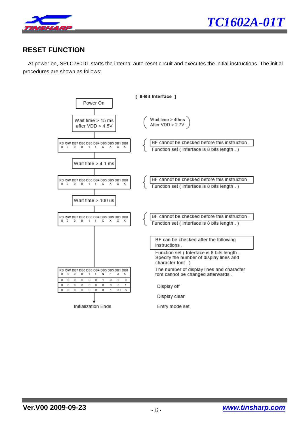

## **RESET FUNCTION**

At power on, SPLC780D1 starts the internal auto-reset circuit and executes the initial instructions. The initial procedures are shown as follows:

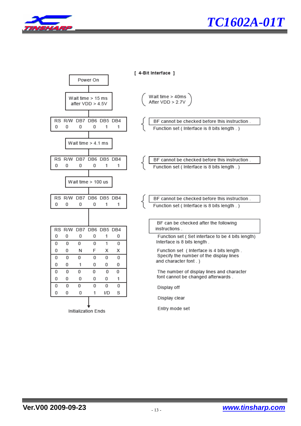

## *TC1602A-01T*

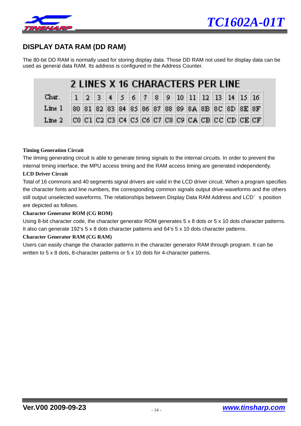

## **DISPLAY DATA RAM (DD RAM)**

The 80-bit DD RAM is normally used for storing display data. Those DD RAM not used for display data can be used as general data RAM. Its address is configured in the Address Counter.

| 2 LINES X 16 CHARACTERS PFR I INF |  |  |  |  |  |  |  |  |  |  |  |  |  |                                                                                                                                                        |  |
|-----------------------------------|--|--|--|--|--|--|--|--|--|--|--|--|--|--------------------------------------------------------------------------------------------------------------------------------------------------------|--|
| Char.                             |  |  |  |  |  |  |  |  |  |  |  |  |  | $\mid$ 1 $\mid$ 2 $\mid$ 3 $\mid$ 4 $\mid$ 5 $\mid$ 6 $\mid$ 7 $\mid$ 8 $\mid$ 9 $\mid$ 10 $\mid$ 11 $\mid$ 12 $\mid$ 13 $\mid$ 14 $\mid$ 15 $\mid$ 16 |  |
| Line 1                            |  |  |  |  |  |  |  |  |  |  |  |  |  | 80 81 82 83 84 85 86 87 88 89 8A 8B 8C 8D 8E 8F                                                                                                        |  |
| $\mathbf{Line}\ 2$                |  |  |  |  |  |  |  |  |  |  |  |  |  | $ CO C1 C2 C3 C4 C5 C6 C7 C8 C9 C4 C5 CC CD CE CF$                                                                                                     |  |

### **Timing Generation Circuit**

The timing generating circuit is able to generate timing signals to the internal circuits. In order to prevent the internal timing interface, the MPU access timing and the RAM access timing are generated independently.

### **LCD Driver Circuit**

Total of 16 commons and 40 segments signal drivers are valid in the LCD driver circuit. When a program specifies the character fonts and line numbers, the corresponding common signals output drive-waveforms and the others still output unselected waveforms. The relationships between Display Data RAM Address and LCD<sup>'</sup>s position are depicted as follows.

#### **Character Generator ROM (CG ROM)**

Using 8-bit character code, the character generator ROM generates 5 x 8 dots or 5 x 10 dots character patterns. It also can generate 192's 5 x 8 dots character patterns and 64's 5 x 10 dots character patterns.

### **Character Generator RAM (CG RAM)**

Users can easily change the character patterns in the character generator RAM through program. It can be written to 5 x 8 dots, 8-character patterns or 5 x 10 dots for 4-character patterns.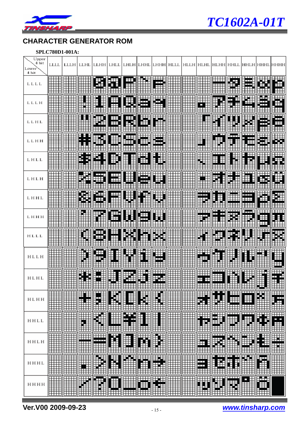



## **CHARACTER GENERATOR ROM**

### **SPLC780D1-001A:**

| Upper<br>4 bit | <b>LLLL</b>              | LLLH   LLHL   LLHH   LHLL   LHLH   LHHL   LHHH   HLLL   HLLH   HLHL   HLHH   HHLL   HHLH   HHHL |                         |                                          |                  |               |                                                                               |            |    |                    |               |               |                               |                                                     |                                                        |   |
|----------------|--------------------------|-------------------------------------------------------------------------------------------------|-------------------------|------------------------------------------|------------------|---------------|-------------------------------------------------------------------------------|------------|----|--------------------|---------------|---------------|-------------------------------|-----------------------------------------------------|--------------------------------------------------------|---|
| Lower<br>4 bit |                          |                                                                                                 |                         |                                          |                  |               |                                                                               |            |    |                    |               |               |                               |                                                     |                                                        |   |
|                |                          |                                                                                                 |                         |                                          |                  |               |                                                                               |            |    |                    |               |               |                               |                                                     |                                                        |   |
| LLLL           |                          |                                                                                                 |                         |                                          | <b>ES   ES  </b> |               | ==="  2="==  ====;<br>   ====  2====   ===;                                   |            |    |                    |               |               | Ë.                            |                                                     |                                                        |   |
|                |                          |                                                                                                 |                         |                                          |                  |               |                                                                               |            |    |                    |               |               |                               |                                                     |                                                        |   |
| LLLH           |                          |                                                                                                 |                         |                                          | E                |               | 222    2222    2222<br>  222    2222    2222<br>  2225    2222    2222        |            |    |                    |               |               | <b>--- 1:1:1</b><br>::1:1:1:1 |                                                     |                                                        |   |
|                |                          |                                                                                                 |                         |                                          |                  |               |                                                                               |            |    |                    |               |               |                               |                                                     |                                                        |   |
|                |                          |                                                                                                 |                         |                                          |                  |               |                                                                               |            |    |                    |               |               |                               |                                                     |                                                        |   |
| LLHL           |                          |                                                                                                 |                         | <b>  i:::   :::   :::   ::::   :::: </b> |                  |               |                                                                               |            |    |                    |               |               |                               |                                                     | <u>ET E    E E    E E E    E E E    E E E    E E E</u> |   |
|                |                          |                                                                                                 |                         |                                          |                  |               |                                                                               |            |    |                    |               |               |                               |                                                     |                                                        |   |
| LLHH           |                          |                                                                                                 |                         |                                          |                  |               |                                                                               |            |    |                    |               |               |                               |                                                     |                                                        |   |
|                |                          |                                                                                                 |                         |                                          |                  |               |                                                                               |            |    |                    |               |               |                               |                                                     |                                                        |   |
|                |                          |                                                                                                 |                         | E ENER EN BETNE BIKER IG BE              |                  |               |                                                                               |            |    |                    |               |               | <b>FILES</b>                  |                                                     |                                                        |   |
| LHLL           |                          |                                                                                                 |                         |                                          |                  |               |                                                                               |            |    |                    |               |               |                               |                                                     |                                                        |   |
|                |                          |                                                                                                 |                         |                                          |                  |               |                                                                               |            |    |                    |               |               |                               |                                                     |                                                        |   |
| LHLH           |                          |                                                                                                 | g                       |                                          |                  |               |                                                                               |            |    |                    |               | Fil           |                               |                                                     | <b>EXPERIENCE</b>                                      |   |
|                |                          |                                                                                                 |                         |                                          |                  |               |                                                                               |            |    |                    |               |               |                               |                                                     |                                                        |   |
| LHHL           |                          |                                                                                                 |                         | EI                                       |                  |               | <b>THE REAL</b>                                                               |            |    |                    |               |               |                               | <b>ESSER</b> (SSSS)<br>  ESSERT <br>  ESSERT   ESSE | 罵                                                      |   |
|                |                          |                                                                                                 |                         |                                          |                  |               |                                                                               |            |    |                    |               |               |                               |                                                     |                                                        |   |
|                |                          |                                                                                                 |                         |                                          |                  |               |                                                                               |            |    |                    |               |               |                               |                                                     |                                                        |   |
| LHHH           |                          |                                                                                                 |                         |                                          |                  |               | FRIE HARD                                                                     |            |    |                    | ===<br>#1     | ËË            |                               | <b>FILM</b><br>Bellischen                           |                                                        |   |
|                |                          |                                                                                                 |                         |                                          |                  |               |                                                                               |            |    |                    |               |               |                               |                                                     |                                                        |   |
| HLLL           |                          |                                                                                                 |                         |                                          |                  |               | -===   ===   -===_   ====  ====<br>  -===   ===   +1224   ===   = <u>-1</u> 2 |            |    |                    |               |               |                               |                                                     |                                                        |   |
|                |                          |                                                                                                 |                         |                                          |                  |               |                                                                               |            |    |                    |               |               |                               |                                                     |                                                        |   |
|                |                          |                                                                                                 |                         |                                          |                  |               |                                                                               |            |    |                    |               |               |                               |                                                     |                                                        |   |
| HLLH           |                          |                                                                                                 |                         | Æ                                        | 闺                |               |                                                                               |            |    |                    |               |               |                               |                                                     |                                                        |   |
|                |                          |                                                                                                 |                         |                                          |                  |               |                                                                               |            |    |                    |               |               |                               |                                                     |                                                        |   |
|                |                          |                                                                                                 |                         |                                          |                  |               |                                                                               |            |    |                    |               |               |                               |                                                     |                                                        |   |
| HLHL           |                          |                                                                                                 |                         |                                          |                  |               |                                                                               |            |    |                    |               |               |                               |                                                     |                                                        |   |
|                |                          |                                                                                                 |                         |                                          |                  |               |                                                                               |            |    |                    |               |               |                               | ─────                                               |                                                        |   |
| HLHH           |                          | <b>- 1999</b><br>- 1999<br>- 1999 - 1999 - 1999<br>- 1999 - 1999 - 1999                         | an<br>Bailtean          | H                                        | E                |               | 囏                                                                             | W          | ⊞≣ | <b>Filling</b>     |               | <b>Friday</b> | $\overline{H\overline{H}}$    | ⋕                                                   | Œ                                                      | щ |
|                |                          |                                                                                                 |                         | ETHE                                     |                  |               |                                                                               | ⊞⊞         | ▦  |                    | <b>MAR</b>    |               | HH<br>HHH                     | ▦                                                   | ▦                                                      |   |
|                |                          |                                                                                                 |                         |                                          |                  |               |                                                                               |            |    |                    |               |               | $\overline{\phantom{a}}$      | <del>uuu</del>                                      |                                                        | ш |
| HHLL           |                          |                                                                                                 |                         |                                          | ▓                | Ŧ<br>Ŧ        |                                                                               | ₩₩<br>丰    |    |                    | ₩             |               |                               |                                                     |                                                        | ŀ |
|                |                          | <b>The Second Second</b>                                                                        | <b>THE SEARCH PAPER</b> | <b>Filli</b>                             |                  | H             | in Eil                                                                        | ------     |    |                    | E EAS<br>HHHH |               | HH.                           | HI.                                                 |                                                        |   |
|                |                          |                                                                                                 |                         | $\pm\pm\pm$                              |                  |               |                                                                               |            |    |                    |               | -----         |                               |                                                     |                                                        |   |
| HHLH           | <b>The Second Street</b> | <b>The Second Second</b>                                                                        |                         | سسه                                      | <b>Tilling</b>   | ∰             | THE                                                                           | ₩          |    | <b>The Company</b> | HHH<br>HH     | E             |                               | <b>Hill</b><br>Hill<br>Hill                         | ₩                                                      |   |
|                |                          |                                                                                                 |                         |                                          |                  | ima<br>Hitti  | ⊞⊞                                                                            | ------     |    |                    | ▦₩            |               |                               |                                                     | <b>FILLER</b>                                          |   |
| HHHL           | H                        | <b>Experience</b>                                                                               | I                       |                                          |                  | serse<br>Hill | 鞴                                                                             | ₩¥         | H  | <b>The Company</b> | ₩             | Ē.            |                               | H                                                   |                                                        |   |
|                |                          |                                                                                                 |                         | FISE<br>Henri                            |                  |               |                                                                               |            |    |                    |               | Ħ₩            | ili                           |                                                     | i:<br>Hill<br>Milli                                    |   |
|                |                          |                                                                                                 |                         |                                          |                  | <b>HHH</b>    |                                                                               |            | ⊞  |                    |               |               | ─────                         |                                                     |                                                        |   |
| нннн           | <b>THE</b>               | H                                                                                               | <b>WANG</b>             | <b>Esc</b><br>Bull                       | ▦                | ▓<br>-----    | ⊞                                                                             | EXE<br>HAI | 鞴  |                    | <b>THE</b>    | FII<br>EIL    | ===<br>!!!!!<br>!!!!!         | 篇                                                   | W<br>M                                                 |   |
|                |                          | 賱                                                                                               |                         |                                          |                  |               |                                                                               |            |    |                    |               |               |                               |                                                     |                                                        |   |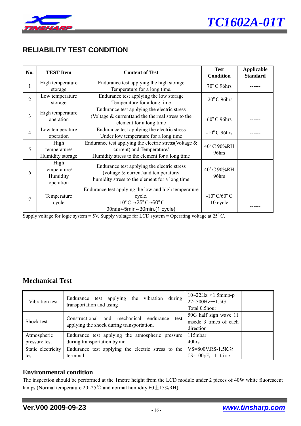

## **RELIABILITY TEST CONDITION**

| No.            | <b>TEST Item</b>                              | <b>Content of Test</b>                                                                                                                                                      | <b>Test</b><br><b>Condition</b>             | <b>Applicable</b><br><b>Standard</b> |
|----------------|-----------------------------------------------|-----------------------------------------------------------------------------------------------------------------------------------------------------------------------------|---------------------------------------------|--------------------------------------|
| 1              | High temperature<br>storage                   | Endurance test applying the high storage<br>Temperature for a long time.                                                                                                    | $70^{\circ}$ C 96hrs                        |                                      |
| $\overline{2}$ | Low temperature<br>storage                    | Endurance test applying the low storage<br>Temperature for a long time                                                                                                      | $-20^{\circ}$ C 96hrs                       |                                      |
| 3              | High temperature<br>operation                 | Endurance test applying the electric stress<br>(Voltage & current) and the thermal stress to the<br>element for a long time                                                 | $60^{\circ}$ C 96hrs                        |                                      |
| 4              | Low temperature<br>operation                  | Endurance test applying the electric stress<br>Under low temperature for a long time                                                                                        | $-10^{\circ}$ C 96hrs                       |                                      |
| 5              | High<br>temperature/<br>Humidity storage      | Endurance test applying the electric stress (Voltage $\&$<br>current) and Temperature/<br>Humidity stress to the element for a long time                                    | 40°C 90%RH<br>96hrs                         |                                      |
| 6              | High<br>temperature/<br>Humidity<br>operation | Endurance test applying the electric stress<br>(voltage & current) and temperature/<br>humidity stress to the element for a long time                                       | 40°C 90%RH<br>96hrs                         |                                      |
| 7              | Temperature<br>cycle                          | Endurance test applying the low and high temperature<br>cycle.<br>$-10^{\circ}$ C $\rightarrow$ 25 $^{\circ}$ C $\rightarrow$ 60 $^{\circ}$ C<br>30min←5min←30min.(1 cycle) | $-10^{\circ}$ C/60 $^{\circ}$ C<br>10 cycle |                                      |

Supply voltage for logic system = 5V. Supply voltage for LCD system = Operating voltage at 25ºC.

### **Mechanical Test**

| Vibration test     | Endurance test applying the vibration<br>during<br>transportation and using                  | $10\text{-}22\text{Hz} \rightarrow 1.5\text{mmp-p}$<br>$22 \sim 500$ Hz $\rightarrow$ 1.5G<br>Total 0.5hour |
|--------------------|----------------------------------------------------------------------------------------------|-------------------------------------------------------------------------------------------------------------|
| Shock test         | Constructional and mechanical endurance<br>test<br>applying the shock during transportation. | 50G half sign wave 11<br>msede 3 times of each<br>direction                                                 |
| Atmospheric        | Endurance test applying the atmospheric pressure                                             | 115mbar                                                                                                     |
| pressure test      | during transportation by air                                                                 | 40hrs                                                                                                       |
| Static electricity | Endurance test applying the electric stress to the                                           | VS=800V,RS-1.5K $\Omega$                                                                                    |
| test               | terminal                                                                                     | $CS=100pF$ , 1 time                                                                                         |

### **Environmental condition**

The inspection should be performed at the 1metre height from the LCD module under 2 pieces of 40W white fluorescent lamps (Normal temperature 20~25°C and normal humidity  $60 \pm 15\%$ RH).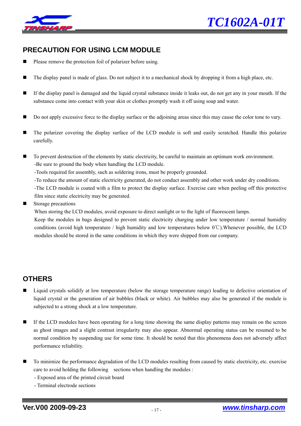



## **PRECAUTION FOR USING LCM MODULE**

- **Please remove the protection foil of polarizer before using.**
- The display panel is made of glass. Do not subject it to a mechanical shock by dropping it from a high place, etc.
- If the display panel is damaged and the liquid crystal substance inside it leaks out, do not get any in your mouth. If the substance come into contact with your skin or clothes promptly wash it off using soap and water.
- Do not apply excessive force to the display surface or the adjoining areas since this may cause the color tone to vary.
- The polarizer covering the display surface of the LCD module is soft and easily scratched. Handle this polarize carefully.
- To prevent destruction of the elements by static electricity, be careful to maintain an optimum work environment. -Be sure to ground the body when handling the LCD module.
	- -Tools required for assembly, such as soldering irons, must be properly grounded.

-To reduce the amount of static electricity generated, do not conduct assembly and other work under dry conditions. -The LCD module is coated with a film to protect the display surface. Exercise care when peeling off this protective film since static electricity may be generated.

Storage precautions

When storing the LCD modules, avoid exposure to direct sunlight or to the light of fluorescent lamps. Keep the modules in bags designed to prevent static electricity charging under low temperature / normal humidity conditions (avoid high temperature / high humidity and low temperatures below 0℃).Whenever possible, the LCD modules should be stored in the same conditions in which they were shipped from our company.

## **OTHERS**

- Liquid crystals solidify at low temperature (below the storage temperature range) leading to defective orientation of liquid crystal or the generation of air bubbles (black or white). Air bubbles may also be generated if the module is subjected to a strong shock at a low temperature.
- If the LCD modules have been operating for a long time showing the same display patterns may remain on the screen as ghost images and a slight contrast irregularity may also appear. Abnormal operating status can be resumed to be normal condition by suspending use for some time. It should be noted that this phenomena does not adversely affect performance reliability.
- To minimize the performance degradation of the LCD modules resulting from caused by static electricity, etc. exercise care to avoid holding the following sections when handling the modules :
	- Exposed area of the printed circuit board
	- Terminal electrode sections